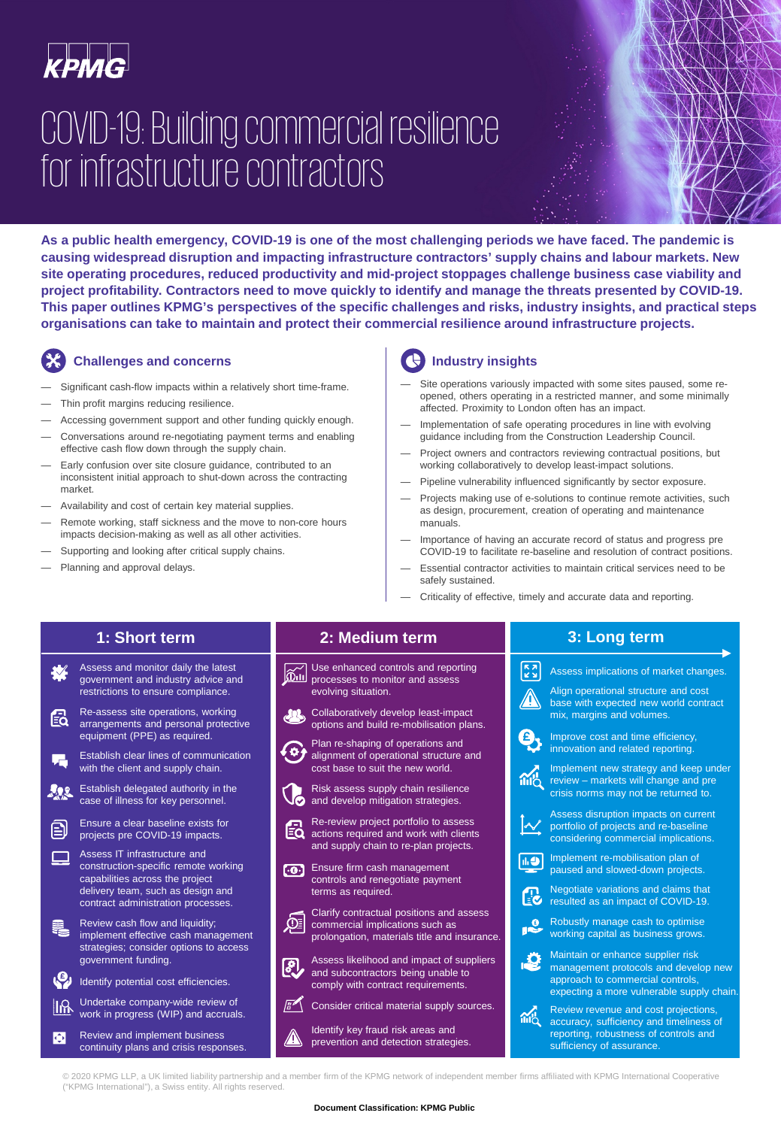

# COVID-19: Building commercial resilience for infrastructure contractors

**As a public health emergency, COVID-19 is one of the most challenging periods we have faced. The pandemic is causing widespread disruption and impacting infrastructure contractors' supply chains and labour markets. New site operating procedures, reduced productivity and mid-project stoppages challenge business case viability and project profitability. Contractors need to move quickly to identify and manage the threats presented by COVID-19. This paper outlines KPMG's perspectives of the specific challenges and risks, industry insights, and practical steps organisations can take to maintain and protect their commercial resilience around infrastructure projects.**

#### **Challenges and concerns**

- Significant cash-flow impacts within a relatively short time-frame.
- Thin profit margins reducing resilience.
- Accessing government support and other funding quickly enough.
- Conversations around re-negotiating payment terms and enabling effective cash flow down through the supply chain.
- Early confusion over site closure guidance, contributed to an inconsistent initial approach to shut-down across the contracting market.
- Availability and cost of certain key material supplies.
- Remote working, staff sickness and the move to non-core hours impacts decision-making as well as all other activities.
- Supporting and looking after critical supply chains.
- Planning and approval delays.

### **Industry insights**

- Site operations variously impacted with some sites paused, some reopened, others operating in a restricted manner, and some minimally affected. Proximity to London often has an impact.
- Implementation of safe operating procedures in line with evolving guidance including from the Construction Leadership Council.
- Project owners and contractors reviewing contractual positions, but working collaboratively to develop least-impact solutions.
- Pipeline vulnerability influenced significantly by sector exposure.
- Projects making use of e-solutions to continue remote activities, such as design, procurement, creation of operating and maintenance manuals.
- Importance of having an accurate record of status and progress pre COVID-19 to facilitate re-baseline and resolution of contract positions.
- Essential contractor activities to maintain critical services need to be safely sustained.
- Criticality of effective, timely and accurate data and reporting.

### **1: Short term**

- Assess and monitor daily the latest ₩ government and industry advice and restrictions to ensure compliance.
- Re-assess site operations, working Ed arrangements and personal protective equipment (PPE) as required.
- Establish clear lines of communication 眉 with the client and supply chain.
- $202$ Establish delegated authority in the case of illness for key personnel.
- Ensure a clear baseline exists for 臼 projects pre COVID-19 impacts.
- Assess IT infrastructure and construction-specific remote working capabilities across the project delivery team, such as design and contract administration processes.
- Ę, Review cash flow and liquidity; implement effective cash management strategies; consider options to access government funding.
- Identify potential cost efficiencies.
- Undertake company-wide review of llß work in progress (WIP) and accruals.
- Review and implement business **C** continuity plans and crisis responses.

#### **2: Medium term**

Use enhanced controls and reporting processes to monitor and assess evolving situation.

Collaboratively develop least-impact options and build re-mobilisation plans.



- Plan re-shaping of operations and alignment of operational structure and cost base to suit the new world.
- Risk assess supply chain resilience and develop mitigation strategies.

Re-review project portfolio to assess 紀 actions required and work with clients and supply chain to re-plan projects.

**[.0.]** Ensure firm cash management controls and renegotiate payment terms as required.

Clarify contractual positions and assess Φ commercial implications such as prolongation, materials title and insurance.

Assess likelihood and impact of suppliers  $|\mathcal{S}|$ and subcontractors being unable to comply with contract requirements.



Identify key fraud risk areas and prevention and detection strategies.

#### **3: Long term**



© 2020 KPMG LLP, a UK limited liability partnership and a member firm of the KPMG network of independent member firms affiliated with KPMG International Cooperative ("KPMG International"), a Swiss entity. All rights reserved.